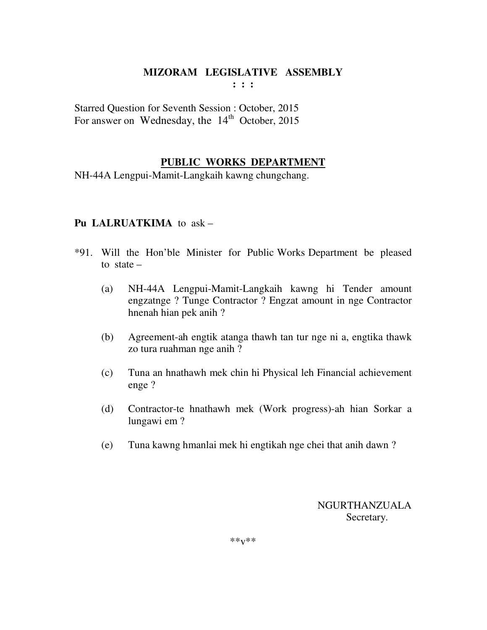Starred Question for Seventh Session : October, 2015 For answer on Wednesday, the  $14<sup>th</sup>$  October, 2015

## **PUBLIC WORKS DEPARTMENT**

NH-44A Lengpui-Mamit-Langkaih kawng chungchang.

## **Pu LALRUATKIMA** to ask –

- \*91. Will the Hon'ble Minister for Public Works Department be pleased to state –
	- (a) NH-44A Lengpui-Mamit-Langkaih kawng hi Tender amount engzatnge ? Tunge Contractor ? Engzat amount in nge Contractor hnenah hian pek anih ?
	- (b) Agreement-ah engtik atanga thawh tan tur nge ni a, engtika thawk zo tura ruahman nge anih ?
	- (c) Tuna an hnathawh mek chin hi Physical leh Financial achievement enge ?
	- (d) Contractor-te hnathawh mek (Work progress)-ah hian Sorkar a lungawi em ?
	- (e) Tuna kawng hmanlai mek hi engtikah nge chei that anih dawn ?

 NGURTHANZUALA Secretary.

\*\*v\*\*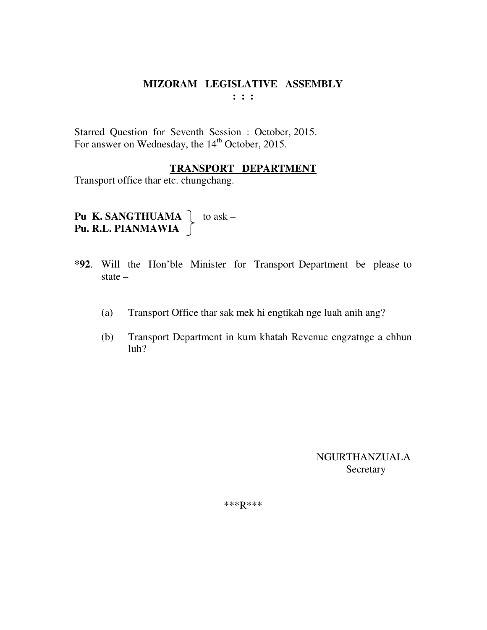**: : :** 

Starred Question for Seventh Session : October, 2015. For answer on Wednesday, the 14<sup>th</sup> October, 2015.

#### **TRANSPORT DEPARTMENT**

Transport office thar etc. chungchang.

**Pu K. SANGTHUAMA**  $\left\{ \right.$  to ask – **Pu. R.L. PIANMAWIA** 

- **\*92**. Will the Hon'ble Minister for Transport Department be please to state –
	- (a) Transport Office thar sak mek hi engtikah nge luah anih ang?
	- (b) Transport Department in kum khatah Revenue engzatnge a chhun luh?

 NGURTHANZUALA Secretary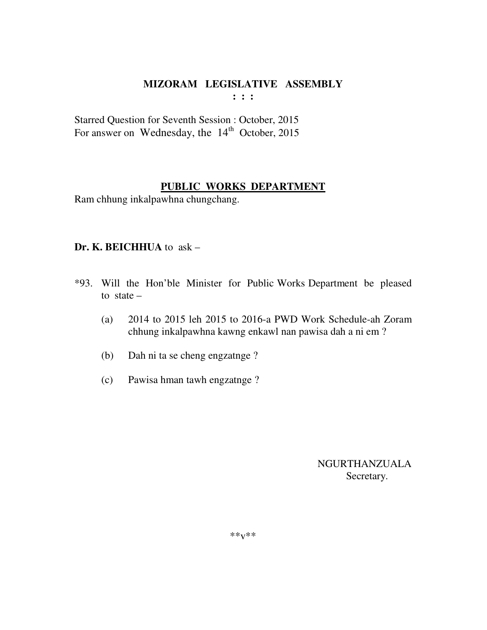**: : :** 

Starred Question for Seventh Session : October, 2015 For answer on Wednesday, the  $14<sup>th</sup>$  October, 2015

## **PUBLIC WORKS DEPARTMENT**

Ram chhung inkalpawhna chungchang.

## **Dr. K. BEICHHUA** to ask –

- \*93. Will the Hon'ble Minister for Public Works Department be pleased to state  $-$ 
	- (a) 2014 to 2015 leh 2015 to 2016-a PWD Work Schedule-ah Zoram chhung inkalpawhna kawng enkawl nan pawisa dah a ni em ?
	- (b) Dah ni ta se cheng engzatnge ?
	- (c) Pawisa hman tawh engzatnge ?

 NGURTHANZUALA Secretary.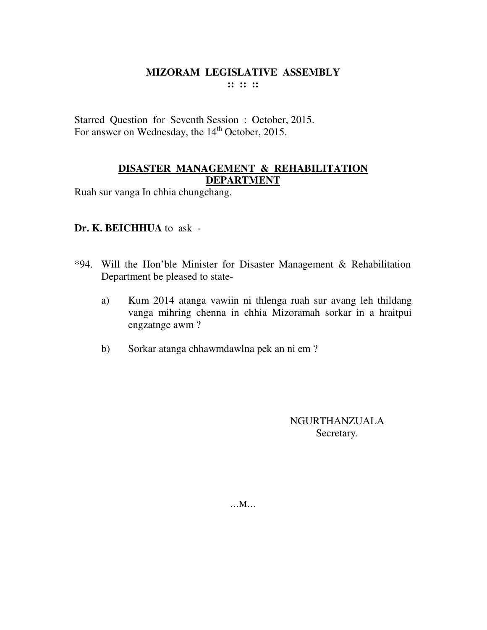Starred Question for Seventh Session : October, 2015. For answer on Wednesday, the 14<sup>th</sup> October, 2015.

## **DISASTER MANAGEMENT & REHABILITATION DEPARTMENT**

Ruah sur vanga In chhia chungchang.

## **Dr. K. BEICHHUA** to ask -

- \*94. Will the Hon'ble Minister for Disaster Management & Rehabilitation Department be pleased to state
	- a) Kum 2014 atanga vawiin ni thlenga ruah sur avang leh thildang vanga mihring chenna in chhia Mizoramah sorkar in a hraitpui engzatnge awm ?
	- b) Sorkar atanga chhawmdawlna pek an ni em ?

NGURTHANZUALA Secretary.

…M…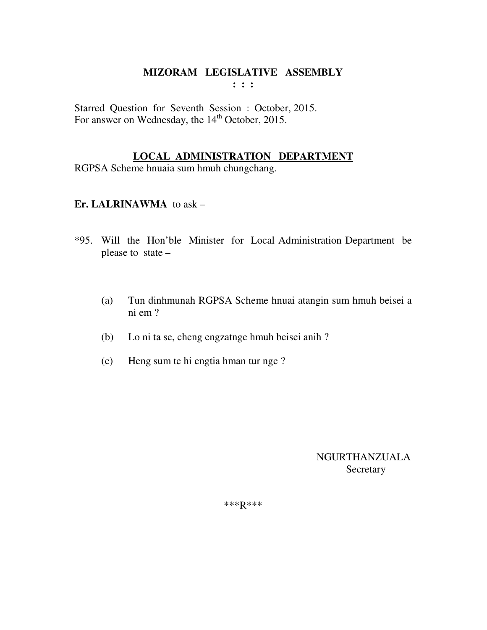Starred Question for Seventh Session : October, 2015. For answer on Wednesday, the 14<sup>th</sup> October, 2015.

## **LOCAL ADMINISTRATION DEPARTMENT**

RGPSA Scheme hnuaia sum hmuh chungchang.

# **Er. LALRINAWMA** to ask –

- \*95. Will the Hon'ble Minister for Local Administration Department be please to state –
	- (a) Tun dinhmunah RGPSA Scheme hnuai atangin sum hmuh beisei a ni em ?
	- (b) Lo ni ta se, cheng engzatnge hmuh beisei anih ?
	- (c) Heng sum te hi engtia hman tur nge ?

 NGURTHANZUALA **Secretary**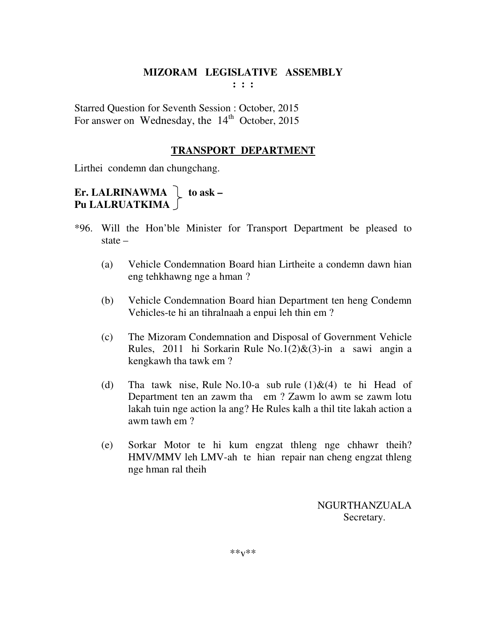Starred Question for Seventh Session : October, 2015 For answer on Wednesday, the  $14<sup>th</sup>$  October, 2015

# **TRANSPORT DEPARTMENT**

Lirthei condemn dan chungchang.

# **Er. LALRINAWMA**  $\int$  to ask – **Pu LALRUATKIMA**

- \*96. Will the Hon'ble Minister for Transport Department be pleased to state –
	- (a) Vehicle Condemnation Board hian Lirtheite a condemn dawn hian eng tehkhawng nge a hman ?
	- (b) Vehicle Condemnation Board hian Department ten heng Condemn Vehicles-te hi an tihralnaah a enpui leh thin em ?
	- (c) The Mizoram Condemnation and Disposal of Government Vehicle Rules, 2011 hi Sorkarin Rule No.1(2)&(3)-in a sawi angin a kengkawh tha tawk em ?
	- (d) Tha tawk nise, Rule No.10-a sub rule  $(1)\&(4)$  te hi Head of Department ten an zawm tha em ? Zawm lo awm se zawm lotu lakah tuin nge action la ang? He Rules kalh a thil tite lakah action a awm tawh em ?
	- (e) Sorkar Motor te hi kum engzat thleng nge chhawr theih? HMV/MMV leh LMV-ah te hian repair nan cheng engzat thleng nge hman ral theih

 NGURTHANZUALA Secretary.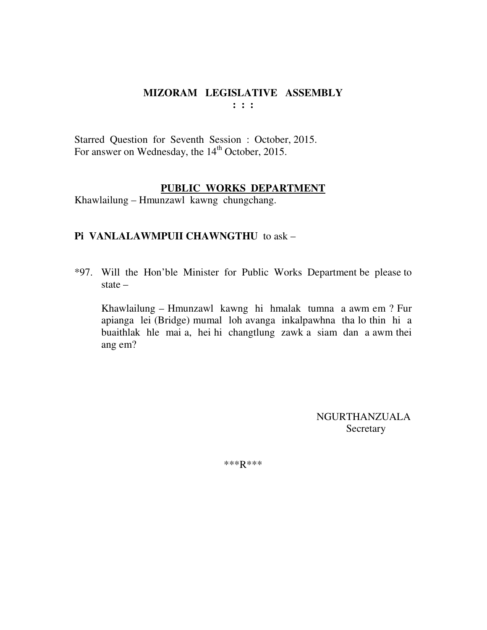Starred Question for Seventh Session : October, 2015. For answer on Wednesday, the 14<sup>th</sup> October, 2015.

#### **PUBLIC WORKS DEPARTMENT**

Khawlailung – Hmunzawl kawng chungchang.

#### **Pi VANLALAWMPUII CHAWNGTHU** to ask –

\*97. Will the Hon'ble Minister for Public Works Department be please to state –

Khawlailung – Hmunzawl kawng hi hmalak tumna a awm em ? Fur apianga lei (Bridge) mumal loh avanga inkalpawhna tha lo thin hi a buaithlak hle mai a, hei hi changtlung zawk a siam dan a awm thei ang em?

> NGURTHANZUALA **Secretary**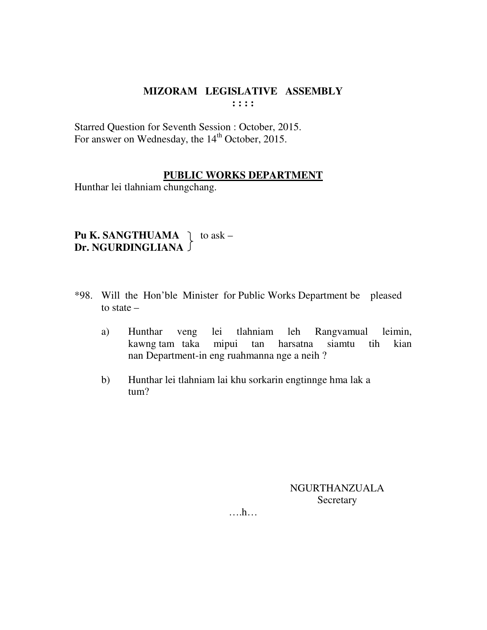Starred Question for Seventh Session : October, 2015. For answer on Wednesday, the 14<sup>th</sup> October, 2015.

#### **PUBLIC WORKS DEPARTMENT**

Hunthar lei tlahniam chungchang.

**Pu K. SANGTHUAMA**  $\uparrow$  to ask – **Dr. NGURDINGLIANA** 

- \*98. Will the Hon'ble Minister for Public Works Department be pleased to state –
	- a) Hunthar veng lei tlahniam leh Rangvamual leimin, kawng tam taka mipui tan harsatna siamtu tih kian nan Department-in eng ruahmanna nge a neih ?
	- b) Hunthar lei tlahniam lai khu sorkarin engtinnge hma lak a tum?

NGURTHANZUALA **Secretary**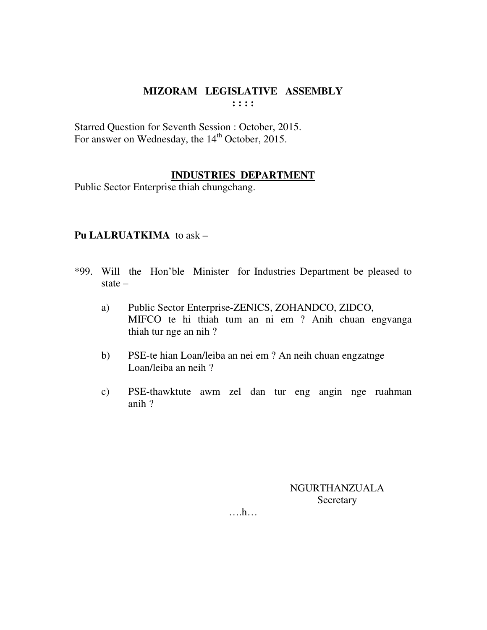Starred Question for Seventh Session : October, 2015. For answer on Wednesday, the 14<sup>th</sup> October, 2015.

## **INDUSTRIES DEPARTMENT**

Public Sector Enterprise thiah chungchang.

# **Pu LALRUATKIMA** to ask –

- \*99. Will the Hon'ble Minister for Industries Department be pleased to state –
	- a) Public Sector Enterprise-ZENICS, ZOHANDCO, ZIDCO, MIFCO te hi thiah tum an ni em ? Anih chuan engvanga thiah tur nge an nih ?
	- b) PSE-te hian Loan/leiba an nei em ? An neih chuan engzatnge Loan/leiba an neih ?
	- c) PSE-thawktute awm zel dan tur eng angin nge ruahman anih ?

NGURTHANZUALA **Secretary**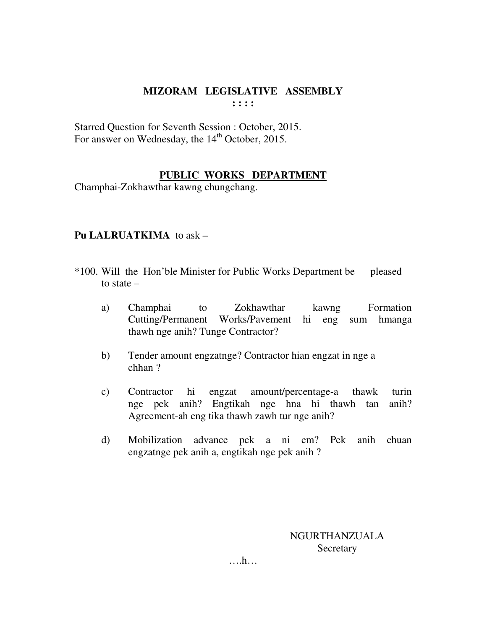Starred Question for Seventh Session : October, 2015. For answer on Wednesday, the 14<sup>th</sup> October, 2015.

## **PUBLIC WORKS DEPARTMENT**

Champhai-Zokhawthar kawng chungchang.

## **Pu LALRUATKIMA** to ask –

- \*100. Will the Hon'ble Minister for Public Works Department be pleased to state –
	- a) Champhai to Zokhawthar kawng Formation Cutting/Permanent Works/Pavement hi eng sum hmanga thawh nge anih? Tunge Contractor?
	- b) Tender amount engzatnge? Contractor hian engzat in nge a chhan ?
	- c) Contractor hi engzat amount/percentage-a thawk turin nge pek anih? Engtikah nge hna hi thawh tan anih? Agreement-ah eng tika thawh zawh tur nge anih?
	- d) Mobilization advance pek a ni em? Pek anih chuan engzatnge pek anih a, engtikah nge pek anih ?

NGURTHANZUALA **Secretary**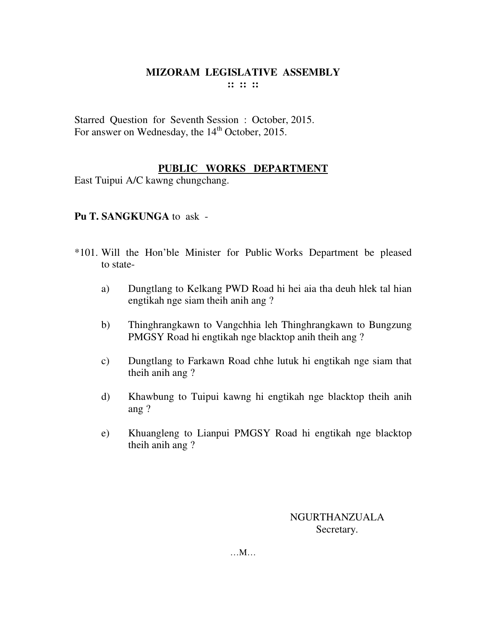Starred Question for Seventh Session : October, 2015. For answer on Wednesday, the 14<sup>th</sup> October, 2015.

## **PUBLIC WORKS DEPARTMENT**

East Tuipui A/C kawng chungchang.

## **Pu T. SANGKUNGA** to ask -

- \*101. Will the Hon'ble Minister for Public Works Department be pleased to state
	- a) Dungtlang to Kelkang PWD Road hi hei aia tha deuh hlek tal hian engtikah nge siam theih anih ang ?
	- b) Thinghrangkawn to Vangchhia leh Thinghrangkawn to Bungzung PMGSY Road hi engtikah nge blacktop anih theih ang ?
	- c) Dungtlang to Farkawn Road chhe lutuk hi engtikah nge siam that theih anih ang ?
	- d) Khawbung to Tuipui kawng hi engtikah nge blacktop theih anih ang ?
	- e) Khuangleng to Lianpui PMGSY Road hi engtikah nge blacktop theih anih ang ?

NGURTHANZUALA Secretary.

…M…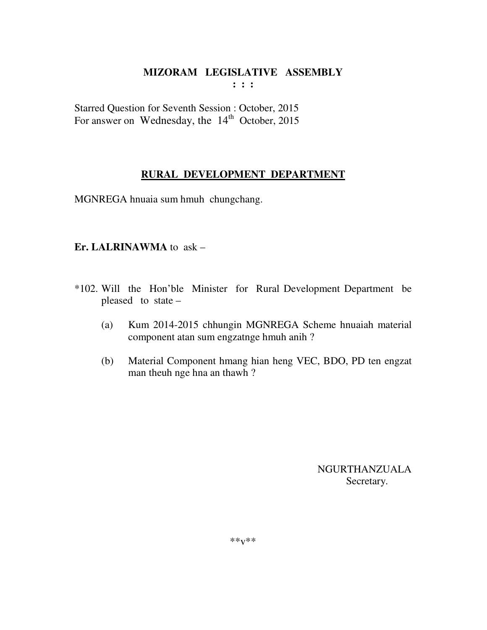Starred Question for Seventh Session : October, 2015 For answer on Wednesday, the  $14<sup>th</sup>$  October, 2015

# **RURAL DEVELOPMENT DEPARTMENT**

MGNREGA hnuaia sum hmuh chungchang.

#### **Er. LALRINAWMA** to ask –

- \*102. Will the Hon'ble Minister for Rural Development Department be pleased to state –
	- (a) Kum 2014-2015 chhungin MGNREGA Scheme hnuaiah material component atan sum engzatnge hmuh anih ?
	- (b) Material Component hmang hian heng VEC, BDO, PD ten engzat man theuh nge hna an thawh ?

 NGURTHANZUALA Secretary.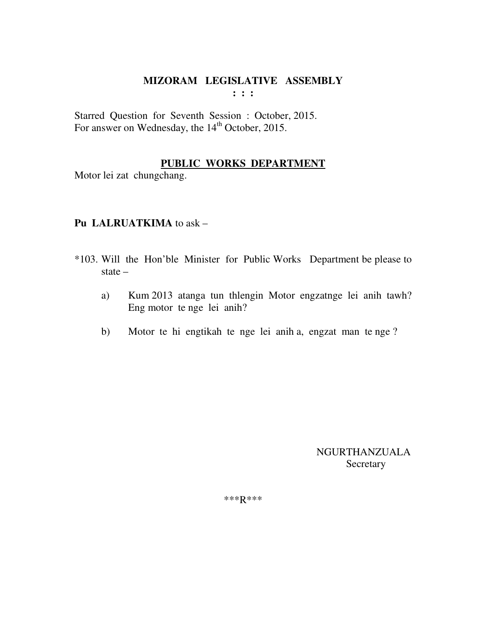Starred Question for Seventh Session : October, 2015. For answer on Wednesday, the 14<sup>th</sup> October, 2015.

## **PUBLIC WORKS DEPARTMENT**

Motor lei zat chungchang.

## **Pu LALRUATKIMA** to ask –

- \*103. Will the Hon'ble Minister for Public Works Department be please to state –
	- a) Kum 2013 atanga tun thlengin Motor engzatnge lei anih tawh? Eng motor te nge lei anih?
	- b) Motor te hi engtikah te nge lei anih a, engzat man te nge ?

 NGURTHANZUALA **Secretary**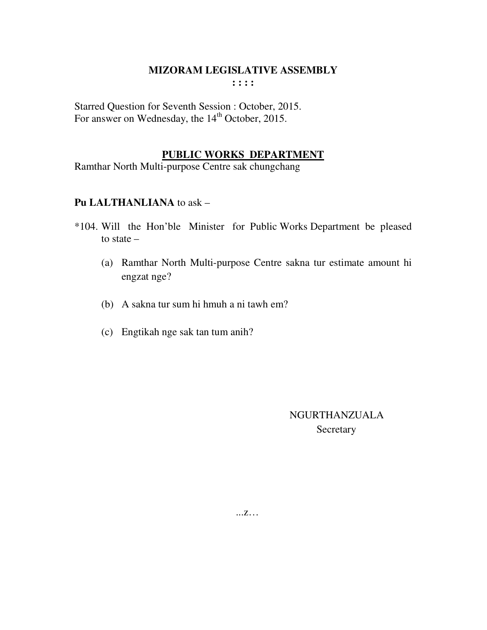Starred Question for Seventh Session : October, 2015. For answer on Wednesday, the 14<sup>th</sup> October, 2015.

#### **PUBLIC WORKS DEPARTMENT**

Ramthar North Multi-purpose Centre sak chungchang

#### **Pu LALTHANLIANA** to ask –

- \*104. Will the Hon'ble Minister for Public Works Department be pleased to state –
	- (a) Ramthar North Multi-purpose Centre sakna tur estimate amount hi engzat nge?
	- (b) A sakna tur sum hi hmuh a ni tawh em?
	- (c) Engtikah nge sak tan tum anih?

 NGURTHANZUALA Secretary

...z…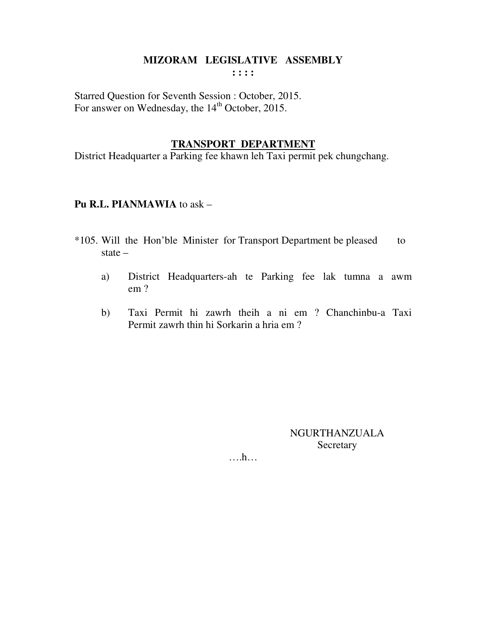Starred Question for Seventh Session : October, 2015. For answer on Wednesday, the 14<sup>th</sup> October, 2015.

#### **TRANSPORT DEPARTMENT**

District Headquarter a Parking fee khawn leh Taxi permit pek chungchang.

#### **Pu R.L. PIANMAWIA** to ask –

- \*105. Will the Hon'ble Minister for Transport Department be pleased to state –
	- a) District Headquarters-ah te Parking fee lak tumna a awm em ?
	- b) Taxi Permit hi zawrh theih a ni em ? Chanchinbu-a Taxi Permit zawrh thin hi Sorkarin a hria em ?

NGURTHANZUALA Secretary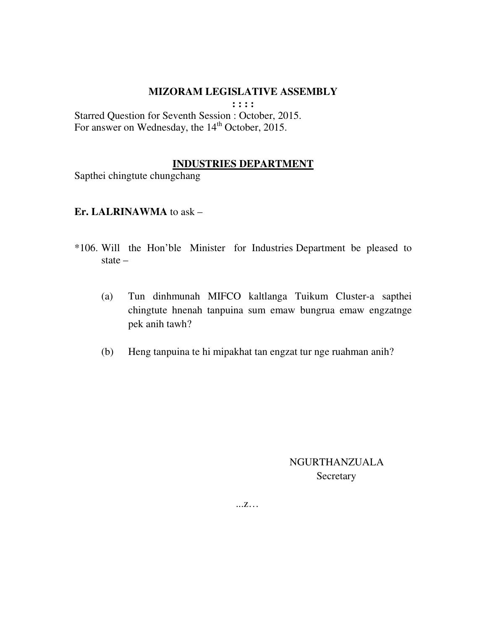**: : : :** 

Starred Question for Seventh Session : October, 2015. For answer on Wednesday, the 14<sup>th</sup> October, 2015.

#### **INDUSTRIES DEPARTMENT**

Sapthei chingtute chungchang

#### **Er. LALRINAWMA** to ask –

- \*106. Will the Hon'ble Minister for Industries Department be pleased to state –
	- (a) Tun dinhmunah MIFCO kaltlanga Tuikum Cluster-a sapthei chingtute hnenah tanpuina sum emaw bungrua emaw engzatnge pek anih tawh?
	- (b) Heng tanpuina te hi mipakhat tan engzat tur nge ruahman anih?

 NGURTHANZUALA Secretary

...z…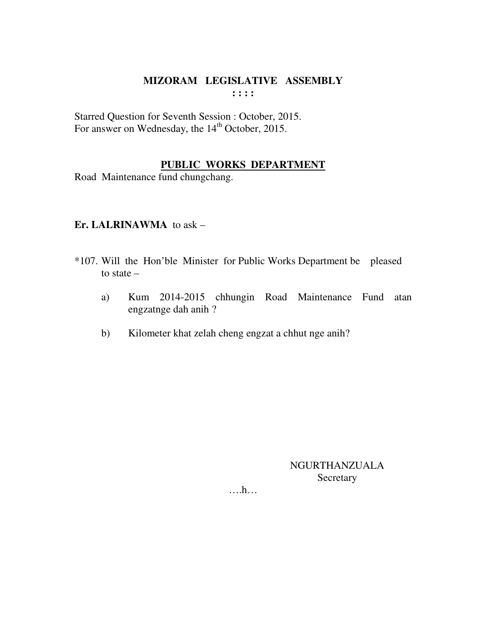Starred Question for Seventh Session : October, 2015. For answer on Wednesday, the 14<sup>th</sup> October, 2015.

# **PUBLIC WORKS DEPARTMENT**

Road Maintenance fund chungchang.

## **Er. LALRINAWMA** to ask –

- \*107. Will the Hon'ble Minister for Public Works Department be pleased to state –
	- a) Kum 2014-2015 chhungin Road Maintenance Fund atan engzatnge dah anih ?
	- b) Kilometer khat zelah cheng engzat a chhut nge anih?

NGURTHANZUALA Secretary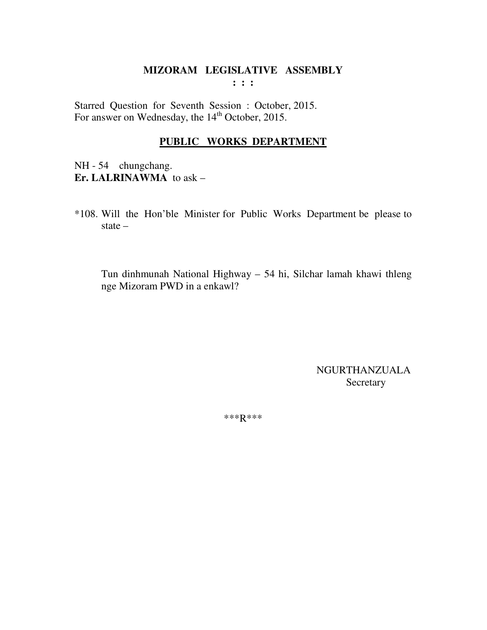Starred Question for Seventh Session : October, 2015. For answer on Wednesday, the 14<sup>th</sup> October, 2015.

## **PUBLIC WORKS DEPARTMENT**

NH - 54 chungchang. **Er. LALRINAWMA** to ask –

\*108. Will the Hon'ble Minister for Public Works Department be please to state –

Tun dinhmunah National Highway – 54 hi, Silchar lamah khawi thleng nge Mizoram PWD in a enkawl?

> NGURTHANZUALA Secretary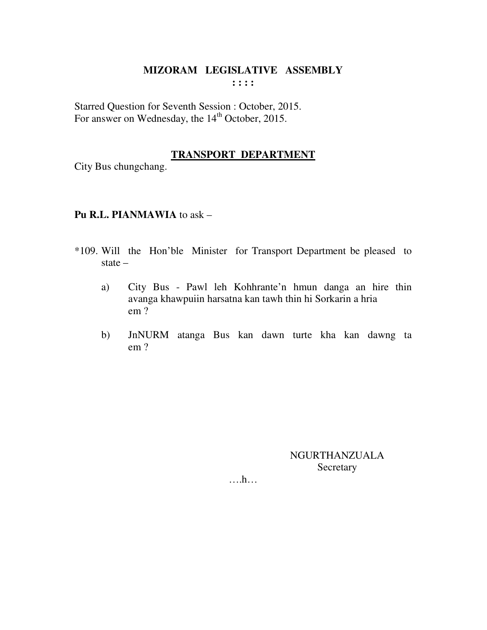Starred Question for Seventh Session : October, 2015. For answer on Wednesday, the 14<sup>th</sup> October, 2015.

## **TRANSPORT DEPARTMENT**

City Bus chungchang.

#### **Pu R.L. PIANMAWIA** to ask –

- \*109. Will the Hon'ble Minister for Transport Department be pleased to state –
	- a) City Bus Pawl leh Kohhrante'n hmun danga an hire thin avanga khawpuiin harsatna kan tawh thin hi Sorkarin a hria em ?
	- b) JnNURM atanga Bus kan dawn turte kha kan dawng ta em ?

NGURTHANZUALA **Secretary**